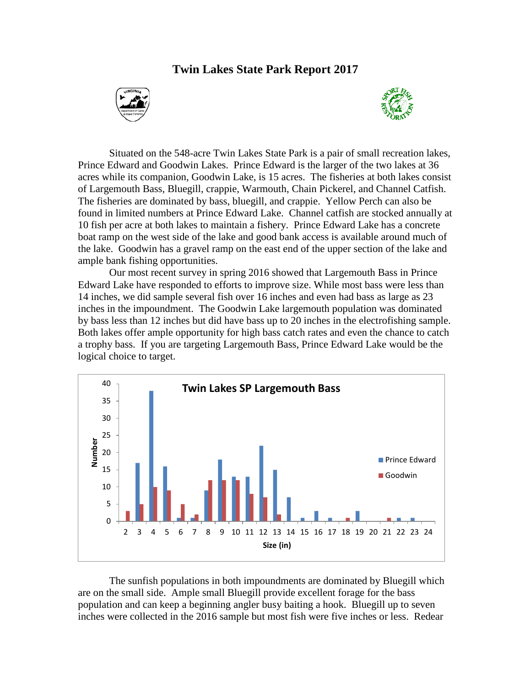## **Twin Lakes State Park Report 2017**





Situated on the 548-acre Twin Lakes State Park is a pair of small recreation lakes, Prince Edward and Goodwin Lakes. Prince Edward is the larger of the two lakes at 36 acres while its companion, Goodwin Lake, is 15 acres. The fisheries at both lakes consist of Largemouth Bass, Bluegill, crappie, Warmouth, Chain Pickerel, and Channel Catfish. The fisheries are dominated by bass, bluegill, and crappie. Yellow Perch can also be found in limited numbers at Prince Edward Lake. Channel catfish are stocked annually at 10 fish per acre at both lakes to maintain a fishery. Prince Edward Lake has a concrete boat ramp on the west side of the lake and good bank access is available around much of the lake. Goodwin has a gravel ramp on the east end of the upper section of the lake and ample bank fishing opportunities.

Our most recent survey in spring 2016 showed that Largemouth Bass in Prince Edward Lake have responded to efforts to improve size. While most bass were less than 14 inches, we did sample several fish over 16 inches and even had bass as large as 23 inches in the impoundment. The Goodwin Lake largemouth population was dominated by bass less than 12 inches but did have bass up to 20 inches in the electrofishing sample. Both lakes offer ample opportunity for high bass catch rates and even the chance to catch a trophy bass. If you are targeting Largemouth Bass, Prince Edward Lake would be the logical choice to target.



The sunfish populations in both impoundments are dominated by Bluegill which are on the small side. Ample small Bluegill provide excellent forage for the bass population and can keep a beginning angler busy baiting a hook. Bluegill up to seven inches were collected in the 2016 sample but most fish were five inches or less. Redear